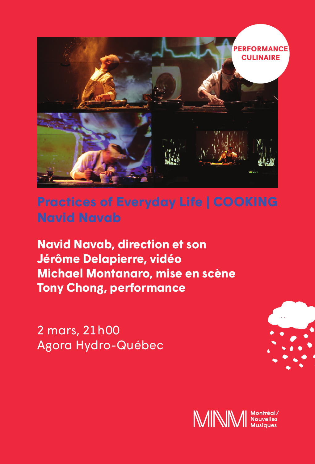

## **Practices of Everyday Life | COOKING Navid Navab**

**Navid Navab, direction et son Jérôme Delapierre, vidéo Michael Montanaro, mise en scène Tony Chong, performance**

2 mars, 21 h 00 Agora Hydro-Québec